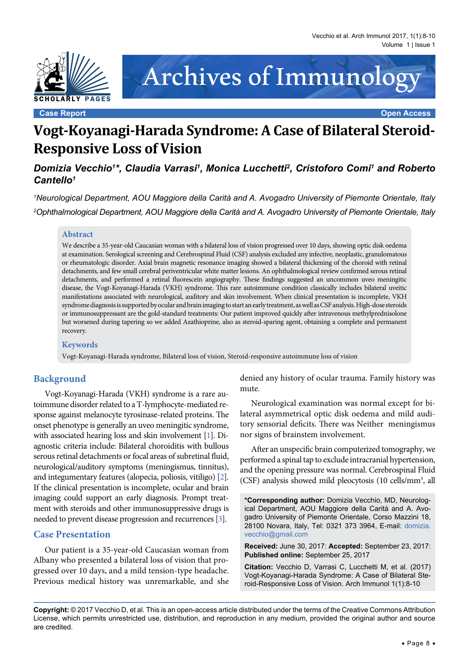



**Case Report Open Access**

# **Vogt-Koyanagi-Harada Syndrome: A Case of Bilateral Steroid-Responsive Loss of Vision**

*Domizia Vecchio1 \*, Claudia Varrasi1 , Monica Lucchetti2 , Cristoforo Comi1 and Roberto Cantello1*

*1 Neurological Department, AOU Maggiore della Carità and A. Avogadro University of Piemonte Orientale, Italy 2 Ophthalmological Department, AOU Maggiore della Carità and A. Avogadro University of Piemonte Orientale, Italy*

#### **Abstract**

We describe a 35-year-old Caucasian woman with a bilateral loss of vision progressed over 10 days, showing optic disk oedema at examination. Serological screening and Cerebrospinal Fluid (CSF) analysis excluded any infective, neoplastic, granulomatous or rheumatologic disorder. Axial brain magnetic resonance imaging showed a bilateral thickening of the choroid with retinal detachments, and few small cerebral periventricular white matter lesions. An ophthalmological review confirmed serous retinal detachments, and performed a retinal fluorescein angiography. These findings suggested an uncommon uveo meningitic disease, the Vogt-Koyanagi-Harada (VKH) syndrome. This rare autoimmune condition classically includes bilateral uveitic manifestations associated with neurological, auditory and skin involvement. When clinical presentation is incomplete, VKH syndrome diagnosis is supported by ocular and brain imaging to start an early treatment, as well as CSF analysis. High-dose steroids or immunosuppressant are the gold-standard treatments: Our patient improved quickly after intravenous methylprednisolone but worsened during tapering so we added Azathioprine, also as steroid-sparing agent, obtaining a complete and permanent recovery.

#### **Keywords**

Vogt-Koyanagi-Harada syndrome, Bilateral loss of vision, Steroid-responsive autoimmune loss of vision

## **Background**

Vogt-Koyanagi-Harada (VKH) syndrome is a rare autoimmune disorder related to a T-lymphocyte-mediated response against melanocyte tyrosinase-related proteins. The onset phenotype is generally an uveo meningitic syndrome, with associated hearing loss and skin involvement [\[1](#page-2-0)]. Diagnostic criteria include: Bilateral choroiditis with bullous serous retinal detachments or focal areas of subretinal fluid, neurological/auditory symptoms (meningismus, tinnitus), and integumentary features (alopecia, poliosis, vitiligo) [\[2](#page-2-1)]. If the clinical presentation is incomplete, ocular and brain imaging could support an early diagnosis. Prompt treatment with steroids and other immunosuppressive drugs is needed to prevent disease progression and recurrences [\[3](#page-2-2)].

#### **Case Presentation**

Our patient is a 35-year-old Caucasian woman from Albany who presented a bilateral loss of vision that progressed over 10 days, and a mild tension-type headache. Previous medical history was unremarkable, and she

denied any history of ocular trauma. Family history was mute.

Neurological examination was normal except for bilateral asymmetrical optic disk oedema and mild auditory sensorial deficits. There was Neither meningismus nor signs of brainstem involvement.

After an unspecific brain computerized tomography, we performed a spinal tap to exclude intracranial hypertension, and the opening pressure was normal. Cerebrospinal Fluid (CSF) analysis showed mild pleocytosis (10 cells/mm3 , all

**\*Corresponding author:** Domizia Vecchio, MD, Neurological Department, AOU Maggiore della Carità and A. Avogadro University of Piemonte Orientale, Corso Mazzini 18, 28100 Novara, Italy, Tel: 0321 373 3964, E-mail: [domizia.](mailto:domizia.vecchio@gmail.com) [vecchio@gmail.com](mailto:domizia.vecchio@gmail.com)

**Received:** June 30, 2017: **Accepted:** September 23, 2017: **Published online:** September 25, 2017

**Citation:** Vecchio D, Varrasi C, Lucchetti M, et al. (2017) Vogt-Koyanagi-Harada Syndrome: A Case of Bilateral Steroid-Responsive Loss of Vision. Arch Immunol 1(1):8-10

**Copyright:** © 2017 Vecchio D, et al. This is an open-access article distributed under the terms of the Creative Commons Attribution License, which permits unrestricted use, distribution, and reproduction in any medium, provided the original author and source are credited.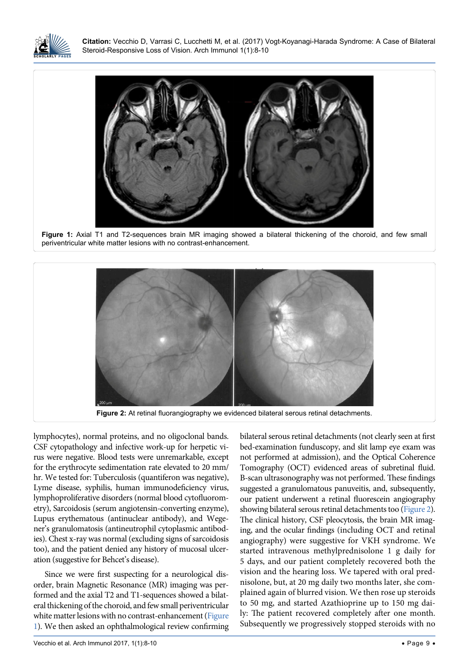

<span id="page-1-0"></span>Ĩ

**Citation:** Vecchio D, Varrasi C, Lucchetti M, et al. (2017) Vogt-Koyanagi-Harada Syndrome: A Case of Bilateral Steroid-Responsive Loss of Vision. Arch Immunol 1(1):8-10



**Figure 1:** Axial T1 and T2-sequences brain MR imaging showed a bilateral thickening of the choroid, and few small periventricular white matter lesions with no contrast-enhancement.

<span id="page-1-1"></span>

lymphocytes), normal proteins, and no oligoclonal bands. CSF cytopathology and infective work-up for herpetic virus were negative. Blood tests were unremarkable, except for the erythrocyte sedimentation rate elevated to 20 mm/ hr. We tested for: Tuberculosis (quantiferon was negative), Lyme disease, syphilis, human immunodeficiency virus, lymphoproliferative disorders (normal blood cytofluorometry), Sarcoidosis (serum angiotensin-converting enzyme), Lupus erythematous (antinuclear antibody), and Wegener's granulomatosis [\(antineutrophil cytoplasmic antibod](http://www.rightdiagnosis.com/test/antibody_tests.htm)[ies\)](http://www.rightdiagnosis.com/test/antibody_tests.htm). Chest x-ray was normal (excluding signs of sarcoidosis too), and the patient denied any history of mucosal ulceration (suggestive for Behcet's disease).

Since we were first suspecting for a neurological disorder, brain Magnetic Resonance (MR) imaging was performed and the axial T2 and T1-sequences showed a bilateral thickening of the choroid, and few small periventricular white matter lesions with no contrast-enhancement [\(Figure](#page-1-0)  [1\)](#page-1-0). We then asked an ophthalmological review confirming

bilateral serous retinal detachments (not clearly seen at first bed-examination funduscopy, and slit lamp eye exam was not performed at admission), and the Optical Coherence Tomography (OCT) evidenced areas of subretinal fluid. B-scan ultrasonography was not performed. These findings suggested a granulomatous panuveitis, and, subsequently, our patient underwent a retinal fluorescein angiography showing bilateral serous retinal detachments too [\(Figure 2\)](#page-1-1). The clinical history, CSF pleocytosis, the brain MR imaging, and the ocular findings (including OCT and retinal angiography) were suggestive for VKH syndrome. We started intravenous methylprednisolone 1 g daily for 5 days, and our patient completely recovered both the vision and the hearing loss. We tapered with oral prednisolone, but, at 20 mg daily two months later, she complained again of blurred vision. We then rose up steroids to 50 mg, and started Azathioprine up to 150 mg daily: The patient recovered completely after one month. Subsequently we progressively stopped steroids with no